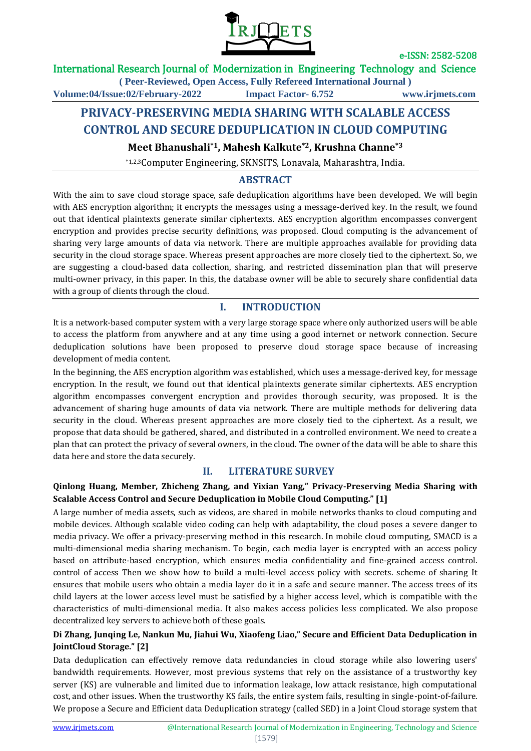

### International Research Journal of Modernization in Engineering Technology and Science

**( Peer-Reviewed, Open Access, Fully Refereed International Journal ) Volume:04/Issue:02/February-2022 Impact Factor- 6.752 www.irjmets.com**

# **PRIVACY-PRESERVING MEDIA SHARING WITH SCALABLE ACCESS CONTROL AND SECURE DEDUPLICATION IN CLOUD COMPUTING**

**Meet Bhanushali\*1, Mahesh Kalkute\*2, Krushna Channe\*3**

\*1,2,3Computer Engineering, SKNSITS, Lonavala, Maharashtra, India.

## **ABSTRACT**

With the aim to save cloud storage space, safe deduplication algorithms have been developed. We will begin with AES encryption algorithm; it encrypts the messages using a message-derived key. In the result, we found out that identical plaintexts generate similar ciphertexts. AES encryption algorithm encompasses convergent encryption and provides precise security definitions, was proposed. Cloud computing is the advancement of sharing very large amounts of data via network. There are multiple approaches available for providing data security in the cloud storage space. Whereas present approaches are more closely tied to the ciphertext. So, we are suggesting a cloud-based data collection, sharing, and restricted dissemination plan that will preserve multi-owner privacy, in this paper. In this, the database owner will be able to securely share confidential data with a group of clients through the cloud.

## **I. INTRODUCTION**

It is a network-based computer system with a very large storage space where only authorized users will be able to access the platform from anywhere and at any time using a good internet or network connection. Secure deduplication solutions have been proposed to preserve cloud storage space because of increasing development of media content.

In the beginning, the AES encryption algorithm was established, which uses a message-derived key, for message encryption. In the result, we found out that identical plaintexts generate similar ciphertexts. AES encryption algorithm encompasses convergent encryption and provides thorough security, was proposed. It is the advancement of sharing huge amounts of data via network. There are multiple methods for delivering data security in the cloud. Whereas present approaches are more closely tied to the ciphertext. As a result, we propose that data should be gathered, shared, and distributed in a controlled environment. We need to create a plan that can protect the privacy of several owners, in the cloud. The owner of the data will be able to share this data here and store the data securely.

## **II. LITERATURE SURVEY**

### **Qinlong Huang, Member, Zhicheng Zhang, and Yixian Yang," Privacy-Preserving Media Sharing with Scalable Access Control and Secure Deduplication in Mobile Cloud Computing." [1]**

A large number of media assets, such as videos, are shared in mobile networks thanks to cloud computing and mobile devices. Although scalable video coding can help with adaptability, the cloud poses a severe danger to media privacy. We offer a privacy-preserving method in this research. In mobile cloud computing, SMACD is a multi-dimensional media sharing mechanism. To begin, each media layer is encrypted with an access policy based on attribute-based encryption, which ensures media confidentiality and fine-grained access control. control of access Then we show how to build a multi-level access policy with secrets. scheme of sharing It ensures that mobile users who obtain a media layer do it in a safe and secure manner. The access trees of its child layers at the lower access level must be satisfied by a higher access level, which is compatible with the characteristics of multi-dimensional media. It also makes access policies less complicated. We also propose decentralized key servers to achieve both of these goals.

### **Di Zhang, Junqing Le, Nankun Mu, Jiahui Wu, Xiaofeng Liao," Secure and Efficient Data Deduplication in JointCloud Storage." [2]**

Data deduplication can effectively remove data redundancies in cloud storage while also lowering users' bandwidth requirements. However, most previous systems that rely on the assistance of a trustworthy key server (KS) are vulnerable and limited due to information leakage, low attack resistance, high computational cost, and other issues. When the trustworthy KS fails, the entire system fails, resulting in single-point-of-failure. We propose a Secure and Efficient data Deduplication strategy (called SED) in a Joint Cloud storage system that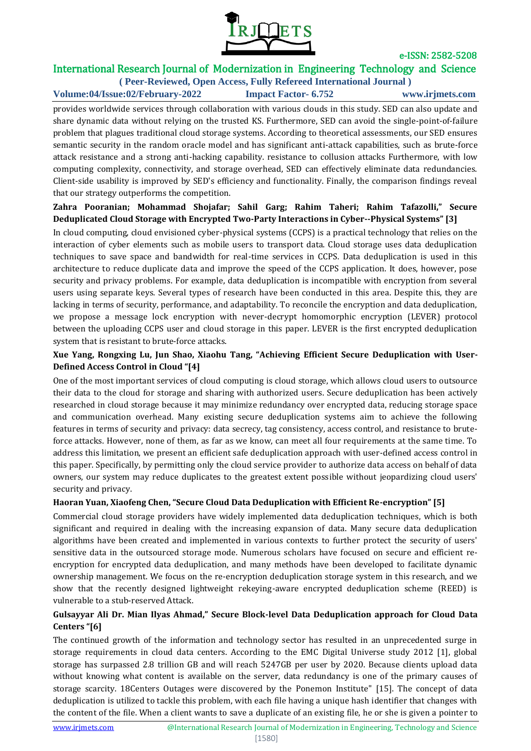

## International Research Journal of Modernization in Engineering Technology and Science

**( Peer-Reviewed, Open Access, Fully Refereed International Journal ) Volume:04/Issue:02/February-2022 Impact Factor- 6.752 www.irjmets.com**

provides worldwide services through collaboration with various clouds in this study. SED can also update and share dynamic data without relying on the trusted KS. Furthermore, SED can avoid the single-point-of-failure problem that plagues traditional cloud storage systems. According to theoretical assessments, our SED ensures semantic security in the random oracle model and has significant anti-attack capabilities, such as brute-force attack resistance and a strong anti-hacking capability. resistance to collusion attacks Furthermore, with low computing complexity, connectivity, and storage overhead, SED can effectively eliminate data redundancies. Client-side usability is improved by SED's efficiency and functionality. Finally, the comparison findings reveal that our strategy outperforms the competition.

### **Zahra Pooranian; Mohammad Shojafar; Sahil Garg; Rahim Taheri; Rahim Tafazolli," Secure Deduplicated Cloud Storage with Encrypted Two-Party Interactions in Cyber--Physical Systems" [3]**

In cloud computing, cloud envisioned cyber-physical systems (CCPS) is a practical technology that relies on the interaction of cyber elements such as mobile users to transport data. Cloud storage uses data deduplication techniques to save space and bandwidth for real-time services in CCPS. Data deduplication is used in this architecture to reduce duplicate data and improve the speed of the CCPS application. It does, however, pose security and privacy problems. For example, data deduplication is incompatible with encryption from several users using separate keys. Several types of research have been conducted in this area. Despite this, they are lacking in terms of security, performance, and adaptability. To reconcile the encryption and data deduplication, we propose a message lock encryption with never-decrypt homomorphic encryption (LEVER) protocol between the uploading CCPS user and cloud storage in this paper. LEVER is the first encrypted deduplication system that is resistant to brute-force attacks.

### **Xue Yang, Rongxing Lu, Jun Shao, Xiaohu Tang, "Achieving Efficient Secure Deduplication with User-Defined Access Control in Cloud "[4]**

One of the most important services of cloud computing is cloud storage, which allows cloud users to outsource their data to the cloud for storage and sharing with authorized users. Secure deduplication has been actively researched in cloud storage because it may minimize redundancy over encrypted data, reducing storage space and communication overhead. Many existing secure deduplication systems aim to achieve the following features in terms of security and privacy: data secrecy, tag consistency, access control, and resistance to bruteforce attacks. However, none of them, as far as we know, can meet all four requirements at the same time. To address this limitation, we present an efficient safe deduplication approach with user-defined access control in this paper. Specifically, by permitting only the cloud service provider to authorize data access on behalf of data owners, our system may reduce duplicates to the greatest extent possible without jeopardizing cloud users' security and privacy.

### **Haoran Yuan, Xiaofeng Chen, "Secure Cloud Data Deduplication with Efficient Re-encryption" [5]**

Commercial cloud storage providers have widely implemented data deduplication techniques, which is both significant and required in dealing with the increasing expansion of data. Many secure data deduplication algorithms have been created and implemented in various contexts to further protect the security of users' sensitive data in the outsourced storage mode. Numerous scholars have focused on secure and efficient reencryption for encrypted data deduplication, and many methods have been developed to facilitate dynamic ownership management. We focus on the re-encryption deduplication storage system in this research, and we show that the recently designed lightweight rekeying-aware encrypted deduplication scheme (REED) is vulnerable to a stub-reserved Attack.

### **Gulsayyar Ali Dr. Mian Ilyas Ahmad," Secure Block-level Data Deduplication approach for Cloud Data Centers "[6]**

The continued growth of the information and technology sector has resulted in an unprecedented surge in storage requirements in cloud data centers. According to the EMC Digital Universe study 2012 [1], global storage has surpassed 2.8 trillion GB and will reach 5247GB per user by 2020. Because clients upload data without knowing what content is available on the server, data redundancy is one of the primary causes of storage scarcity. 18Centers Outages were discovered by the Ponemon Institute" [15]. The concept of data deduplication is utilized to tackle this problem, with each file having a unique hash identifier that changes with the content of the file. When a client wants to save a duplicate of an existing file, he or she is given a pointer to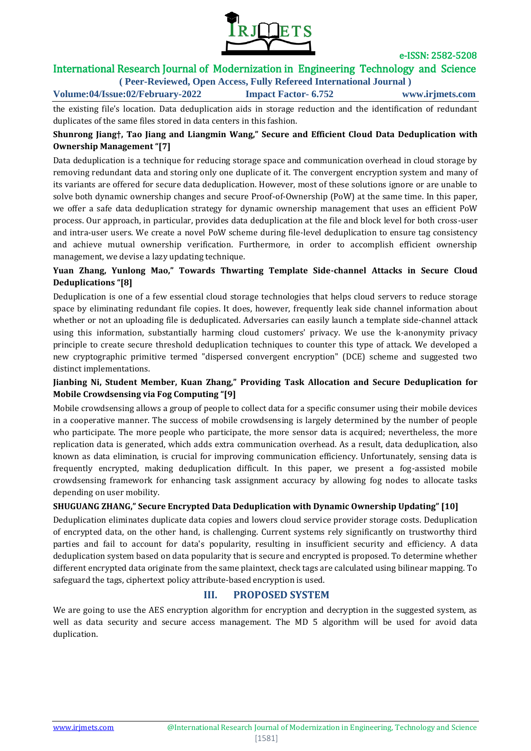

## International Research Journal of Modernization in Engineering Technology and Science

**( Peer-Reviewed, Open Access, Fully Refereed International Journal ) Volume:04/Issue:02/February-2022 Impact Factor- 6.752 www.irjmets.com**

the existing file's location. Data deduplication aids in storage reduction and the identification of redundant duplicates of the same files stored in data centers in this fashion.

#### **Shunrong Jiang†, Tao Jiang and Liangmin Wang," Secure and Efficient Cloud Data Deduplication with Ownership Management "[7]**

Data deduplication is a technique for reducing storage space and communication overhead in cloud storage by removing redundant data and storing only one duplicate of it. The convergent encryption system and many of its variants are offered for secure data deduplication. However, most of these solutions ignore or are unable to solve both dynamic ownership changes and secure Proof-of-Ownership (PoW) at the same time. In this paper, we offer a safe data deduplication strategy for dynamic ownership management that uses an efficient PoW process. Our approach, in particular, provides data deduplication at the file and block level for both cross-user and intra-user users. We create a novel PoW scheme during file-level deduplication to ensure tag consistency and achieve mutual ownership verification. Furthermore, in order to accomplish efficient ownership management, we devise a lazy updating technique.

### **Yuan Zhang, Yunlong Mao," Towards Thwarting Template Side-channel Attacks in Secure Cloud Deduplications "[8]**

Deduplication is one of a few essential cloud storage technologies that helps cloud servers to reduce storage space by eliminating redundant file copies. It does, however, frequently leak side channel information about whether or not an uploading file is deduplicated. Adversaries can easily launch a template side-channel attack using this information, substantially harming cloud customers' privacy. We use the k-anonymity privacy principle to create secure threshold deduplication techniques to counter this type of attack. We developed a new cryptographic primitive termed "dispersed convergent encryption" (DCE) scheme and suggested two distinct implementations.

### **Jianbing Ni, Student Member, Kuan Zhang," Providing Task Allocation and Secure Deduplication for Mobile Crowdsensing via Fog Computing "[9]**

Mobile crowdsensing allows a group of people to collect data for a specific consumer using their mobile devices in a cooperative manner. The success of mobile crowdsensing is largely determined by the number of people who participate. The more people who participate, the more sensor data is acquired; nevertheless, the more replication data is generated, which adds extra communication overhead. As a result, data deduplication, also known as data elimination, is crucial for improving communication efficiency. Unfortunately, sensing data is frequently encrypted, making deduplication difficult. In this paper, we present a fog-assisted mobile crowdsensing framework for enhancing task assignment accuracy by allowing fog nodes to allocate tasks depending on user mobility.

### **SHUGUANG ZHANG," Secure Encrypted Data Deduplication with Dynamic Ownership Updating" [10]**

Deduplication eliminates duplicate data copies and lowers cloud service provider storage costs. Deduplication of encrypted data, on the other hand, is challenging. Current systems rely significantly on trustworthy third parties and fail to account for data's popularity, resulting in insufficient security and efficiency. A data deduplication system based on data popularity that is secure and encrypted is proposed. To determine whether different encrypted data originate from the same plaintext, check tags are calculated using bilinear mapping. To safeguard the tags, ciphertext policy attribute-based encryption is used.

## **III. PROPOSED SYSTEM**

We are going to use the AES encryption algorithm for encryption and decryption in the suggested system, as well as data security and secure access management. The MD 5 algorithm will be used for avoid data duplication.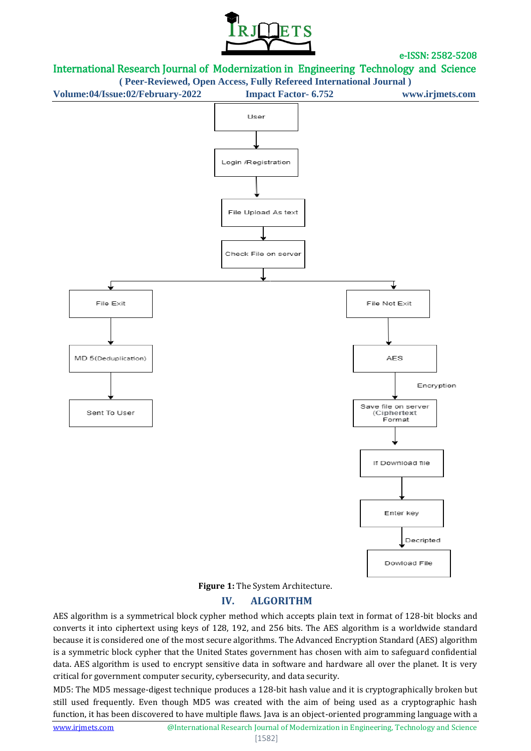







## **IV. ALGORITHM**

AES algorithm is a symmetrical block cypher method which accepts plain text in format of 128-bit blocks and converts it into ciphertext using keys of 128, 192, and 256 bits. The AES algorithm is a worldwide standard because it is considered one of the most secure algorithms. The Advanced Encryption Standard (AES) algorithm is a symmetric block cypher that the United States government has chosen with aim to safeguard confidential data. AES algorithm is used to encrypt sensitive data in software and hardware all over the planet. It is very critical for government computer security, cybersecurity, and data security.

MD5: The MD5 message-digest technique produces a 128-bit hash value and it is cryptographically broken but still used frequently. Even though MD5 was created with the aim of being used as a cryptographic hash function, it has been discovered to have multiple flaws. Java is an object-oriented programming language with a